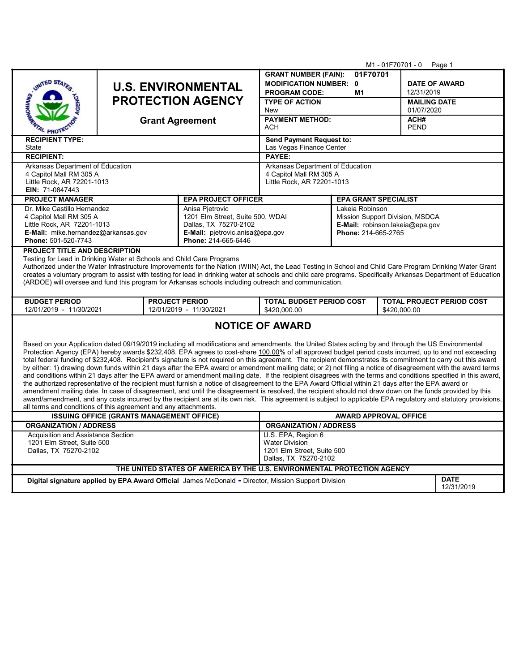|                                                                                                                                                                                                                                                                                                                                 |                                                    |                                                |                                                                                                                                                                 | M1 - 01F70701 - 0 Page 1                              |                     |                                  |                      |  |
|---------------------------------------------------------------------------------------------------------------------------------------------------------------------------------------------------------------------------------------------------------------------------------------------------------------------------------|----------------------------------------------------|------------------------------------------------|-----------------------------------------------------------------------------------------------------------------------------------------------------------------|-------------------------------------------------------|---------------------|----------------------------------|----------------------|--|
|                                                                                                                                                                                                                                                                                                                                 |                                                    |                                                |                                                                                                                                                                 | <b>GRANT NUMBER (FAIN):</b>                           | 01F70701            |                                  |                      |  |
| UNITED STAT                                                                                                                                                                                                                                                                                                                     | <b>U.S. ENVIRONMENTAL</b>                          |                                                |                                                                                                                                                                 | <b>MODIFICATION NUMBER: 0</b>                         |                     |                                  | <b>DATE OF AWARD</b> |  |
|                                                                                                                                                                                                                                                                                                                                 |                                                    |                                                |                                                                                                                                                                 | <b>PROGRAM CODE:</b>                                  | M1                  | 12/31/2019                       |                      |  |
|                                                                                                                                                                                                                                                                                                                                 |                                                    | <b>PROTECTION AGENCY</b>                       |                                                                                                                                                                 | <b>TYPE OF ACTION</b>                                 |                     | <b>MAILING DATE</b>              |                      |  |
|                                                                                                                                                                                                                                                                                                                                 |                                                    |                                                |                                                                                                                                                                 | <b>New</b>                                            |                     | 01/07/2020<br>ACH#               |                      |  |
|                                                                                                                                                                                                                                                                                                                                 |                                                    | <b>Grant Agreement</b>                         |                                                                                                                                                                 | <b>PAYMENT METHOD:</b><br>ACH                         |                     |                                  |                      |  |
| <sup>q</sup> PROT<br><b>RECIPIENT TYPE:</b>                                                                                                                                                                                                                                                                                     |                                                    | <b>PEND</b><br><b>Send Payment Request to:</b> |                                                                                                                                                                 |                                                       |                     |                                  |                      |  |
| State                                                                                                                                                                                                                                                                                                                           |                                                    | Las Vegas Finance Center                       |                                                                                                                                                                 |                                                       |                     |                                  |                      |  |
| <b>RECIPIENT:</b>                                                                                                                                                                                                                                                                                                               |                                                    |                                                |                                                                                                                                                                 | PAYEE:                                                |                     |                                  |                      |  |
| Arkansas Department of Education                                                                                                                                                                                                                                                                                                |                                                    |                                                |                                                                                                                                                                 | Arkansas Department of Education                      |                     |                                  |                      |  |
| 4 Capitol Mall RM 305 A<br>Little Rock, AR 72201-1013                                                                                                                                                                                                                                                                           |                                                    |                                                |                                                                                                                                                                 | 4 Capitol Mall RM 305 A<br>Little Rock, AR 72201-1013 |                     |                                  |                      |  |
| EIN: 71-0847443                                                                                                                                                                                                                                                                                                                 |                                                    |                                                |                                                                                                                                                                 |                                                       |                     |                                  |                      |  |
| <b>PROJECT MANAGER</b>                                                                                                                                                                                                                                                                                                          |                                                    |                                                | <b>EPA PROJECT OFFICER</b>                                                                                                                                      | <b>EPA GRANT SPECIALIST</b>                           |                     |                                  |                      |  |
| Dr. Mike Castillo Hernandez                                                                                                                                                                                                                                                                                                     |                                                    |                                                | Anisa Pjetrovic                                                                                                                                                 | Lakeia Robinson                                       |                     |                                  |                      |  |
| 4 Capitol Mall RM 305 A                                                                                                                                                                                                                                                                                                         |                                                    |                                                | 1201 Elm Street, Suite 500, WDAI                                                                                                                                | Mission Support Division, MSDCA                       |                     |                                  |                      |  |
| Little Rock, AR 72201-1013                                                                                                                                                                                                                                                                                                      |                                                    |                                                | Dallas, TX 75270-2102                                                                                                                                           | E-Mail: robinson.lakeia@epa.gov                       |                     |                                  |                      |  |
| E-Mail: mike.hernandez@arkansas.gov<br>Phone: 501-520-7743                                                                                                                                                                                                                                                                      |                                                    |                                                | E-Mail: pjetrovic.anisa@epa.gov<br>Phone: 214-665-6446                                                                                                          |                                                       | Phone: 214-665-2765 |                                  |                      |  |
| <b>PROJECT TITLE AND DESCRIPTION</b>                                                                                                                                                                                                                                                                                            |                                                    |                                                |                                                                                                                                                                 |                                                       |                     |                                  |                      |  |
| Testing for Lead in Drinking Water at Schools and Child Care Programs                                                                                                                                                                                                                                                           |                                                    |                                                |                                                                                                                                                                 |                                                       |                     |                                  |                      |  |
|                                                                                                                                                                                                                                                                                                                                 |                                                    |                                                | Authorized under the Water Infrastructure Improvements for the Nation (WIIN) Act, the Lead Testing in School and Child Care Program Drinking Water Grant        |                                                       |                     |                                  |                      |  |
|                                                                                                                                                                                                                                                                                                                                 |                                                    |                                                | creates a voluntary program to assist with testing for lead in drinking water at schools and child care programs. Specifically Arkansas Department of Education |                                                       |                     |                                  |                      |  |
|                                                                                                                                                                                                                                                                                                                                 |                                                    |                                                | (ARDOE) will oversee and fund this program for Arkansas schools including outreach and communication.                                                           |                                                       |                     |                                  |                      |  |
| <b>BUDGET PERIOD</b>                                                                                                                                                                                                                                                                                                            |                                                    | <b>PROJECT PERIOD</b>                          |                                                                                                                                                                 | <b>TOTAL BUDGET PERIOD COST</b>                       |                     | <b>TOTAL PROJECT PERIOD COST</b> |                      |  |
|                                                                                                                                                                                                                                                                                                                                 | 12/01/2019 - 11/30/2021<br>12/01/2019 - 11/30/2021 |                                                | \$420,000.00<br>\$420,000.00                                                                                                                                    |                                                       |                     |                                  |                      |  |
|                                                                                                                                                                                                                                                                                                                                 |                                                    |                                                |                                                                                                                                                                 |                                                       |                     |                                  |                      |  |
| <b>NOTICE OF AWARD</b>                                                                                                                                                                                                                                                                                                          |                                                    |                                                |                                                                                                                                                                 |                                                       |                     |                                  |                      |  |
|                                                                                                                                                                                                                                                                                                                                 |                                                    |                                                |                                                                                                                                                                 |                                                       |                     |                                  |                      |  |
| Based on your Application dated 09/19/2019 including all modifications and amendments, the United States acting by and through the US Environmental<br>Protection Agency (EPA) hereby awards \$232,408. EPA agrees to cost-share 100.00% of all approved budget period costs incurred, up to and not exceeding                  |                                                    |                                                |                                                                                                                                                                 |                                                       |                     |                                  |                      |  |
|                                                                                                                                                                                                                                                                                                                                 |                                                    |                                                |                                                                                                                                                                 |                                                       |                     |                                  |                      |  |
| total federal funding of \$232,408. Recipient's signature is not required on this agreement. The recipient demonstrates its commitment to carry out this award<br>by either: 1) drawing down funds within 21 days after the EPA award or amendment mailing date; or 2) not filing a notice of disagreement with the award terms |                                                    |                                                |                                                                                                                                                                 |                                                       |                     |                                  |                      |  |
| and conditions within 21 days after the EPA award or amendment mailing date. If the recipient disagrees with the terms and conditions specified in this award,                                                                                                                                                                  |                                                    |                                                |                                                                                                                                                                 |                                                       |                     |                                  |                      |  |
| the authorized representative of the recipient must furnish a notice of disagreement to the EPA Award Official within 21 days after the EPA award or<br>amendment mailing date. In case of disagreement, and until the disagreement is resolved, the recipient should not draw down on the funds provided by this               |                                                    |                                                |                                                                                                                                                                 |                                                       |                     |                                  |                      |  |
| award/amendment, and any costs incurred by the recipient are at its own risk. This agreement is subject to applicable EPA regulatory and statutory provisions,                                                                                                                                                                  |                                                    |                                                |                                                                                                                                                                 |                                                       |                     |                                  |                      |  |
| all terms and conditions of this agreement and any attachments.                                                                                                                                                                                                                                                                 |                                                    |                                                |                                                                                                                                                                 |                                                       |                     |                                  |                      |  |
| <b>ISSUING OFFICE (GRANTS MANAGEMENT OFFICE)</b>                                                                                                                                                                                                                                                                                |                                                    |                                                |                                                                                                                                                                 |                                                       |                     | <b>AWARD APPROVAL OFFICE</b>     |                      |  |
| <b>ORGANIZATION / ADDRESS</b>                                                                                                                                                                                                                                                                                                   |                                                    |                                                |                                                                                                                                                                 | <b>ORGANIZATION / ADDRESS</b>                         |                     |                                  |                      |  |
| Acquisition and Assistance Section                                                                                                                                                                                                                                                                                              |                                                    |                                                |                                                                                                                                                                 | U.S. EPA, Region 6                                    |                     |                                  |                      |  |
| 1201 Elm Street, Suite 500<br>Dallas, TX 75270-2102                                                                                                                                                                                                                                                                             |                                                    |                                                | <b>Water Division</b><br>1201 Elm Street, Suite 500                                                                                                             |                                                       |                     |                                  |                      |  |
|                                                                                                                                                                                                                                                                                                                                 |                                                    | Dallas, TX 75270-2102                          |                                                                                                                                                                 |                                                       |                     |                                  |                      |  |
| THE UNITED STATES OF AMERICA BY THE U.S. ENVIRONMENTAL PROTECTION AGENCY                                                                                                                                                                                                                                                        |                                                    |                                                |                                                                                                                                                                 |                                                       |                     |                                  |                      |  |
| <b>DATE</b><br>Digital signature applied by EPA Award Official James McDonald - Director, Mission Support Division                                                                                                                                                                                                              |                                                    |                                                |                                                                                                                                                                 |                                                       |                     |                                  |                      |  |
|                                                                                                                                                                                                                                                                                                                                 |                                                    |                                                |                                                                                                                                                                 |                                                       |                     | 12/31/2019                       |                      |  |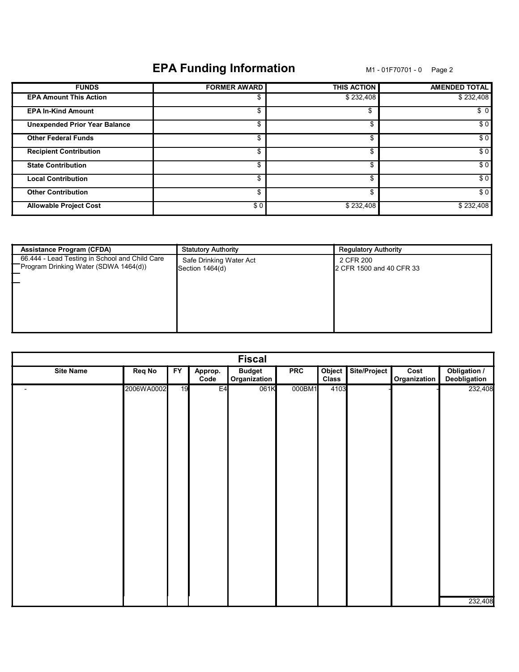# EPA Funding Information M1-01F70701-0 Page 2

| <b>FUNDS</b>                         | <b>FORMER AWARD</b> | <b>THIS ACTION</b> | <b>AMENDED TOTAL</b> |
|--------------------------------------|---------------------|--------------------|----------------------|
| <b>EPA Amount This Action</b>        |                     | \$232,408          | \$232,408            |
| <b>EPA In-Kind Amount</b>            | \$                  | \$                 | \$0                  |
| <b>Unexpended Prior Year Balance</b> | \$                  | \$                 | \$0                  |
| <b>Other Federal Funds</b>           | \$                  | \$                 | \$0                  |
| <b>Recipient Contribution</b>        | \$                  | \$                 | \$0                  |
| <b>State Contribution</b>            | \$                  | \$                 | \$0                  |
| <b>Local Contribution</b>            | \$                  | \$                 | \$0                  |
| <b>Other Contribution</b>            | \$                  | \$                 | \$0                  |
| <b>Allowable Project Cost</b>        | \$0                 | \$232,408          | \$232,408            |

| <b>Assistance Program (CFDA)</b>                                                        | <b>Statutory Authority</b>                 | <b>Regulatory Authority</b>           |
|-----------------------------------------------------------------------------------------|--------------------------------------------|---------------------------------------|
| 66.444 - Lead Testing in School and Child Care<br>Program Drinking Water (SDWA 1464(d)) | Safe Drinking Water Act<br>Section 1464(d) | 2 CFR 200<br>2 CFR 1500 and 40 CFR 33 |
|                                                                                         |                                            |                                       |
|                                                                                         |                                            |                                       |

| <b>Fiscal</b>            |               |    |                 |                               |            |                        |              |                      |                              |
|--------------------------|---------------|----|-----------------|-------------------------------|------------|------------------------|--------------|----------------------|------------------------------|
| <b>Site Name</b>         | <b>Req No</b> | FY | Approp.<br>Code | <b>Budget</b><br>Organization | <b>PRC</b> | Object<br><b>Class</b> | Site/Project | Cost<br>Organization | Obligation /<br>Deobligation |
| $\overline{\phantom{a}}$ | 2006WA0002    | 19 | E <sub>4</sub>  | 061K                          | 000BM1     | 4103                   |              |                      | 232,408                      |
|                          |               |    |                 |                               |            |                        |              |                      | 232,408                      |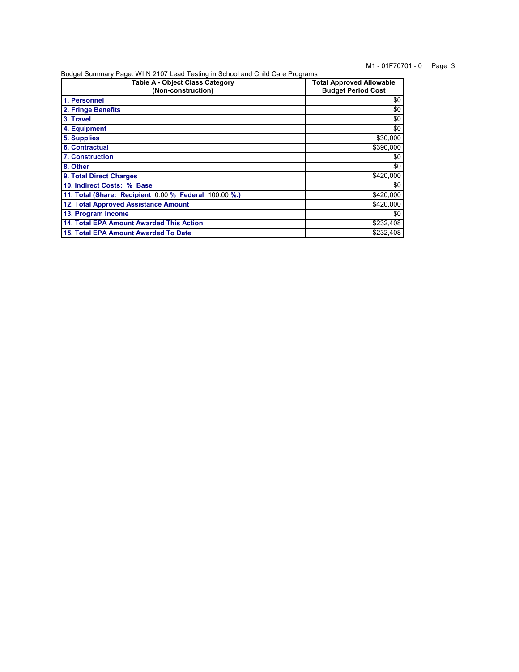# M1 - 01F70701 - 0 Page 3

Budget Summary Page: WIIN 2107 Lead Testing in School and Child Care Programs

| <b>Table A - Object Class Category</b><br>(Non-construction) | <b>Total Approved Allowable</b><br><b>Budget Period Cost</b> |  |  |  |
|--------------------------------------------------------------|--------------------------------------------------------------|--|--|--|
| 1. Personnel                                                 | \$0                                                          |  |  |  |
| 2. Fringe Benefits                                           | \$0                                                          |  |  |  |
| 3. Travel                                                    | \$0                                                          |  |  |  |
| 4. Equipment                                                 | \$0                                                          |  |  |  |
| 5. Supplies                                                  | \$30,000                                                     |  |  |  |
| 6. Contractual                                               | \$390,000                                                    |  |  |  |
| <b>7. Construction</b>                                       | \$0                                                          |  |  |  |
| 8. Other                                                     | \$0                                                          |  |  |  |
| 9. Total Direct Charges                                      | \$420,000                                                    |  |  |  |
| 10. Indirect Costs: % Base                                   | \$0                                                          |  |  |  |
| 11. Total (Share: Recipient 0.00 % Federal 100.00 %.)        | \$420,000                                                    |  |  |  |
| 12. Total Approved Assistance Amount                         | \$420,000                                                    |  |  |  |
| 13. Program Income                                           | \$0                                                          |  |  |  |
| 14. Total EPA Amount Awarded This Action                     | \$232,408                                                    |  |  |  |
| 15. Total EPA Amount Awarded To Date                         | \$232.408                                                    |  |  |  |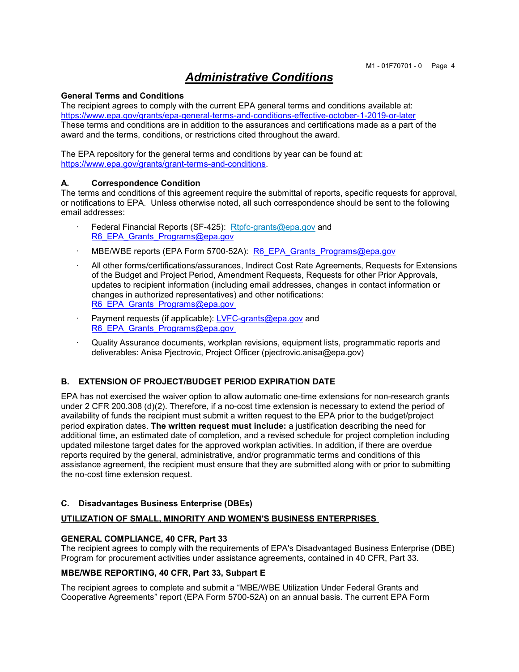# Administrative Conditions

#### General Terms and Conditions

The recipient agrees to comply with the current EPA general terms and conditions available at: https://www.epa.gov/grants/epa-general-terms-and-conditions-effective-october-1-2019-or-later These terms and conditions are in addition to the assurances and certifications made as a part of the award and the terms, conditions, or restrictions cited throughout the award.

The EPA repository for the general terms and conditions by year can be found at: https://www.epa.gov/grants/grant-terms-and-conditions.

#### A. Correspondence Condition

The terms and conditions of this agreement require the submittal of reports, specific requests for approval, or notifications to EPA. Unless otherwise noted, all such correspondence should be sent to the following email addresses:

- Federal Financial Reports (SF-425): Rtpfc-grants@epa.gov and R6\_EPA\_Grants\_Programs@epa.gov
- MBE/WBE reports (EPA Form 5700-52A): R6\_EPA\_Grants\_Programs@epa.gov
- All other forms/certifications/assurances, Indirect Cost Rate Agreements, Requests for Extensions of the Budget and Project Period, Amendment Requests, Requests for other Prior Approvals, updates to recipient information (including email addresses, changes in contact information or changes in authorized representatives) and other notifications: R6\_EPA\_Grants\_Programs@epa.gov
- Payment requests (if applicable): LVFC-grants@epa.gov and R6\_EPA\_Grants\_Programs@epa.gov
- · Quality Assurance documents, workplan revisions, equipment lists, programmatic reports and deliverables: Anisa Pjectrovic, Project Officer (pjectrovic.anisa@epa.gov)

#### B. EXTENSION OF PROJECT/BUDGET PERIOD EXPIRATION DATE

EPA has not exercised the waiver option to allow automatic one-time extensions for non-research grants under 2 CFR 200.308 (d)(2). Therefore, if a no-cost time extension is necessary to extend the period of availability of funds the recipient must submit a written request to the EPA prior to the budget/project period expiration dates. The written request must include: a justification describing the need for additional time, an estimated date of completion, and a revised schedule for project completion including updated milestone target dates for the approved workplan activities. In addition, if there are overdue reports required by the general, administrative, and/or programmatic terms and conditions of this assistance agreement, the recipient must ensure that they are submitted along with or prior to submitting the no-cost time extension request.

#### C. Disadvantages Business Enterprise (DBEs)

#### UTILIZATION OF SMALL, MINORITY AND WOMEN'S BUSINESS ENTERPRISES

#### GENERAL COMPLIANCE, 40 CFR, Part 33

The recipient agrees to comply with the requirements of EPA's Disadvantaged Business Enterprise (DBE) Program for procurement activities under assistance agreements, contained in 40 CFR, Part 33.

#### MBE/WBE REPORTING, 40 CFR, Part 33, Subpart E

The recipient agrees to complete and submit a "MBE/WBE Utilization Under Federal Grants and Cooperative Agreements" report (EPA Form 5700-52A) on an annual basis. The current EPA Form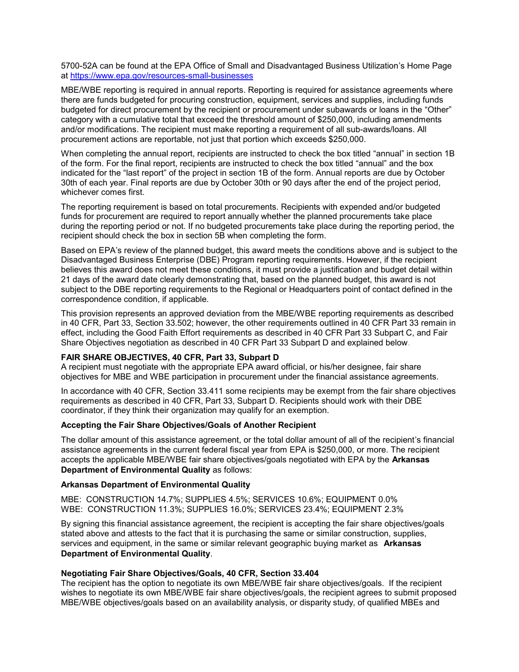5700-52A can be found at the EPA Office of Small and Disadvantaged Business Utilization's Home Page at https://www.epa.gov/resources-small-businesses

MBE/WBE reporting is required in annual reports. Reporting is required for assistance agreements where there are funds budgeted for procuring construction, equipment, services and supplies, including funds budgeted for direct procurement by the recipient or procurement under subawards or loans in the "Other" category with a cumulative total that exceed the threshold amount of \$250,000, including amendments and/or modifications. The recipient must make reporting a requirement of all sub-awards/loans. All procurement actions are reportable, not just that portion which exceeds \$250,000.

When completing the annual report, recipients are instructed to check the box titled "annual" in section 1B of the form. For the final report, recipients are instructed to check the box titled "annual" and the box indicated for the "last report" of the project in section 1B of the form. Annual reports are due by October 30th of each year. Final reports are due by October 30th or 90 days after the end of the project period, whichever comes first.

The reporting requirement is based on total procurements. Recipients with expended and/or budgeted funds for procurement are required to report annually whether the planned procurements take place during the reporting period or not. If no budgeted procurements take place during the reporting period, the recipient should check the box in section 5B when completing the form.

Based on EPA's review of the planned budget, this award meets the conditions above and is subject to the Disadvantaged Business Enterprise (DBE) Program reporting requirements. However, if the recipient believes this award does not meet these conditions, it must provide a justification and budget detail within 21 days of the award date clearly demonstrating that, based on the planned budget, this award is not subject to the DBE reporting requirements to the Regional or Headquarters point of contact defined in the correspondence condition, if applicable.

This provision represents an approved deviation from the MBE/WBE reporting requirements as described in 40 CFR, Part 33, Section 33.502; however, the other requirements outlined in 40 CFR Part 33 remain in effect, including the Good Faith Effort requirements as described in 40 CFR Part 33 Subpart C, and Fair Share Objectives negotiation as described in 40 CFR Part 33 Subpart D and explained below.

#### FAIR SHARE OBJECTIVES, 40 CFR, Part 33, Subpart D

A recipient must negotiate with the appropriate EPA award official, or his/her designee, fair share objectives for MBE and WBE participation in procurement under the financial assistance agreements.

In accordance with 40 CFR, Section 33.411 some recipients may be exempt from the fair share objectives requirements as described in 40 CFR, Part 33, Subpart D. Recipients should work with their DBE coordinator, if they think their organization may qualify for an exemption.

#### Accepting the Fair Share Objectives/Goals of Another Recipient

The dollar amount of this assistance agreement, or the total dollar amount of all of the recipient's financial assistance agreements in the current federal fiscal year from EPA is \$250,000, or more. The recipient accepts the applicable MBE/WBE fair share objectives/goals negotiated with EPA by the Arkansas Department of Environmental Quality as follows:

#### Arkansas Department of Environmental Quality

MBE: CONSTRUCTION 14.7%; SUPPLIES 4.5%; SERVICES 10.6%; EQUIPMENT 0.0% WBE: CONSTRUCTION 11.3%; SUPPLIES 16.0%; SERVICES 23.4%; EQUIPMENT 2.3%

By signing this financial assistance agreement, the recipient is accepting the fair share objectives/goals stated above and attests to the fact that it is purchasing the same or similar construction, supplies, services and equipment, in the same or similar relevant geographic buying market as **Arkansas** Department of Environmental Quality.

#### Negotiating Fair Share Objectives/Goals, 40 CFR, Section 33.404

The recipient has the option to negotiate its own MBE/WBE fair share objectives/goals. If the recipient wishes to negotiate its own MBE/WBE fair share objectives/goals, the recipient agrees to submit proposed MBE/WBE objectives/goals based on an availability analysis, or disparity study, of qualified MBEs and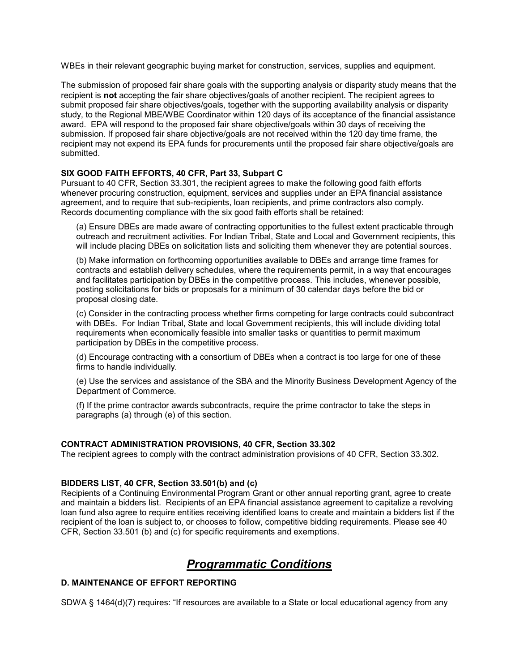WBEs in their relevant geographic buying market for construction, services, supplies and equipment.

The submission of proposed fair share goals with the supporting analysis or disparity study means that the recipient is not accepting the fair share objectives/goals of another recipient. The recipient agrees to submit proposed fair share objectives/goals, together with the supporting availability analysis or disparity study, to the Regional MBE/WBE Coordinator within 120 days of its acceptance of the financial assistance award. EPA will respond to the proposed fair share objective/goals within 30 days of receiving the submission. If proposed fair share objective/goals are not received within the 120 day time frame, the recipient may not expend its EPA funds for procurements until the proposed fair share objective/goals are submitted.

# SIX GOOD FAITH EFFORTS, 40 CFR, Part 33, Subpart C

Pursuant to 40 CFR, Section 33.301, the recipient agrees to make the following good faith efforts whenever procuring construction, equipment, services and supplies under an EPA financial assistance agreement, and to require that sub-recipients, loan recipients, and prime contractors also comply. Records documenting compliance with the six good faith efforts shall be retained:

(a) Ensure DBEs are made aware of contracting opportunities to the fullest extent practicable through outreach and recruitment activities. For Indian Tribal, State and Local and Government recipients, this will include placing DBEs on solicitation lists and soliciting them whenever they are potential sources.

(b) Make information on forthcoming opportunities available to DBEs and arrange time frames for contracts and establish delivery schedules, where the requirements permit, in a way that encourages and facilitates participation by DBEs in the competitive process. This includes, whenever possible, posting solicitations for bids or proposals for a minimum of 30 calendar days before the bid or proposal closing date.

(c) Consider in the contracting process whether firms competing for large contracts could subcontract with DBEs. For Indian Tribal, State and local Government recipients, this will include dividing total requirements when economically feasible into smaller tasks or quantities to permit maximum participation by DBEs in the competitive process.

(d) Encourage contracting with a consortium of DBEs when a contract is too large for one of these firms to handle individually.

(e) Use the services and assistance of the SBA and the Minority Business Development Agency of the Department of Commerce.

(f) If the prime contractor awards subcontracts, require the prime contractor to take the steps in paragraphs (a) through (e) of this section.

# CONTRACT ADMINISTRATION PROVISIONS, 40 CFR, Section 33.302

The recipient agrees to comply with the contract administration provisions of 40 CFR, Section 33.302.

#### BIDDERS LIST, 40 CFR, Section 33.501(b) and (c)

Recipients of a Continuing Environmental Program Grant or other annual reporting grant, agree to create and maintain a bidders list. Recipients of an EPA financial assistance agreement to capitalize a revolving loan fund also agree to require entities receiving identified loans to create and maintain a bidders list if the recipient of the loan is subject to, or chooses to follow, competitive bidding requirements. Please see 40 CFR, Section 33.501 (b) and (c) for specific requirements and exemptions.

# Programmatic Conditions

# D. MAINTENANCE OF EFFORT REPORTING

SDWA § 1464(d)(7) requires: "If resources are available to a State or local educational agency from any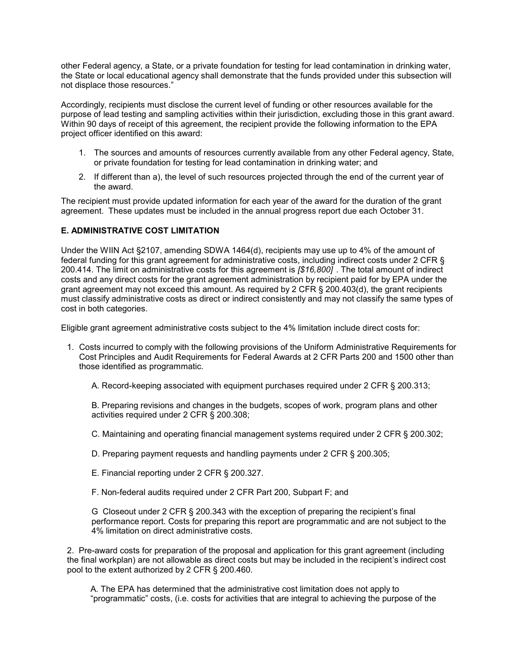other Federal agency, a State, or a private foundation for testing for lead contamination in drinking water, the State or local educational agency shall demonstrate that the funds provided under this subsection will not displace those resources."

Accordingly, recipients must disclose the current level of funding or other resources available for the purpose of lead testing and sampling activities within their jurisdiction, excluding those in this grant award. Within 90 days of receipt of this agreement, the recipient provide the following information to the EPA project officer identified on this award:

- 1. The sources and amounts of resources currently available from any other Federal agency, State, or private foundation for testing for lead contamination in drinking water; and
- 2. If different than a), the level of such resources projected through the end of the current year of the award.

The recipient must provide updated information for each year of the award for the duration of the grant agreement. These updates must be included in the annual progress report due each October 31.

# E. ADMINISTRATIVE COST LIMITATION

Under the WIIN Act §2107, amending SDWA 1464(d), recipients may use up to 4% of the amount of federal funding for this grant agreement for administrative costs, including indirect costs under 2 CFR § 200.414. The limit on administrative costs for this agreement is [\$16,800] . The total amount of indirect costs and any direct costs for the grant agreement administration by recipient paid for by EPA under the grant agreement may not exceed this amount. As required by 2 CFR  $\S$  200.403(d), the grant recipients must classify administrative costs as direct or indirect consistently and may not classify the same types of cost in both categories.

Eligible grant agreement administrative costs subject to the 4% limitation include direct costs for:

- 1. Costs incurred to comply with the following provisions of the Uniform Administrative Requirements for Cost Principles and Audit Requirements for Federal Awards at 2 CFR Parts 200 and 1500 other than those identified as programmatic.
	- A. Record-keeping associated with equipment purchases required under 2 CFR § 200.313;

B. Preparing revisions and changes in the budgets, scopes of work, program plans and other activities required under 2 CFR § 200.308;

- C. Maintaining and operating financial management systems required under 2 CFR § 200.302;
- D. Preparing payment requests and handling payments under 2 CFR § 200.305;
- E. Financial reporting under 2 CFR § 200.327.
- F. Non-federal audits required under 2 CFR Part 200, Subpart F; and

G Closeout under 2 CFR § 200.343 with the exception of preparing the recipient's final performance report. Costs for preparing this report are programmatic and are not subject to the 4% limitation on direct administrative costs.

2. Pre-award costs for preparation of the proposal and application for this grant agreement (including the final workplan) are not allowable as direct costs but may be included in the recipient's indirect cost pool to the extent authorized by 2 CFR § 200.460.

A. The EPA has determined that the administrative cost limitation does not apply to "programmatic" costs, (i.e. costs for activities that are integral to achieving the purpose of the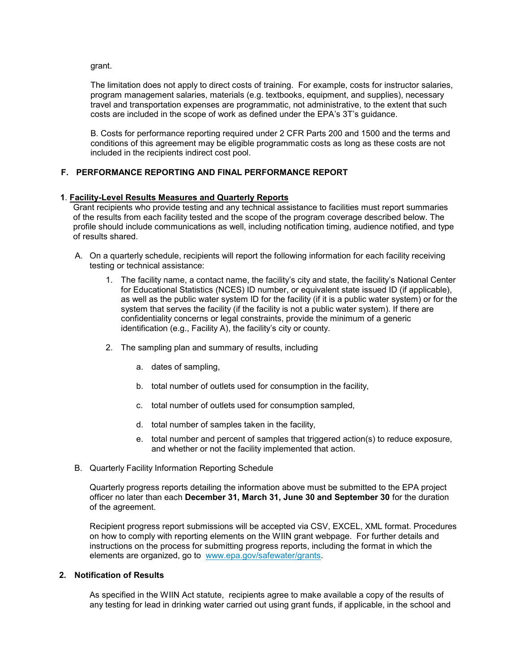grant.

The limitation does not apply to direct costs of training. For example, costs for instructor salaries, program management salaries, materials (e.g. textbooks, equipment, and supplies), necessary travel and transportation expenses are programmatic, not administrative, to the extent that such costs are included in the scope of work as defined under the EPA's 3T's guidance.

B. Costs for performance reporting required under 2 CFR Parts 200 and 1500 and the terms and conditions of this agreement may be eligible programmatic costs as long as these costs are not included in the recipients indirect cost pool.

# F. PERFORMANCE REPORTING AND FINAL PERFORMANCE REPORT

# 1. Facility-Level Results Measures and Quarterly Reports

Grant recipients who provide testing and any technical assistance to facilities must report summaries of the results from each facility tested and the scope of the program coverage described below. The profile should include communications as well, including notification timing, audience notified, and type of results shared.

- A. On a quarterly schedule, recipients will report the following information for each facility receiving testing or technical assistance:
	- 1. The facility name, a contact name, the facility's city and state, the facility's National Center for Educational Statistics (NCES) ID number, or equivalent state issued ID (if applicable), as well as the public water system ID for the facility (if it is a public water system) or for the system that serves the facility (if the facility is not a public water system). If there are confidentiality concerns or legal constraints, provide the minimum of a generic identification (e.g., Facility A), the facility's city or county.
	- 2. The sampling plan and summary of results, including
		- a. dates of sampling,
		- b. total number of outlets used for consumption in the facility,
		- c. total number of outlets used for consumption sampled,
		- d. total number of samples taken in the facility,
		- e. total number and percent of samples that triggered action(s) to reduce exposure, and whether or not the facility implemented that action.
- B. Quarterly Facility Information Reporting Schedule

Quarterly progress reports detailing the information above must be submitted to the EPA project officer no later than each December 31, March 31, June 30 and September 30 for the duration of the agreement.

Recipient progress report submissions will be accepted via CSV, EXCEL, XML format. Procedures on how to comply with reporting elements on the WIIN grant webpage. For further details and instructions on the process for submitting progress reports, including the format in which the elements are organized, go to www.epa.gov/safewater/grants.

# 2. Notification of Results

As specified in the WIIN Act statute, recipients agree to make available a copy of the results of any testing for lead in drinking water carried out using grant funds, if applicable, in the school and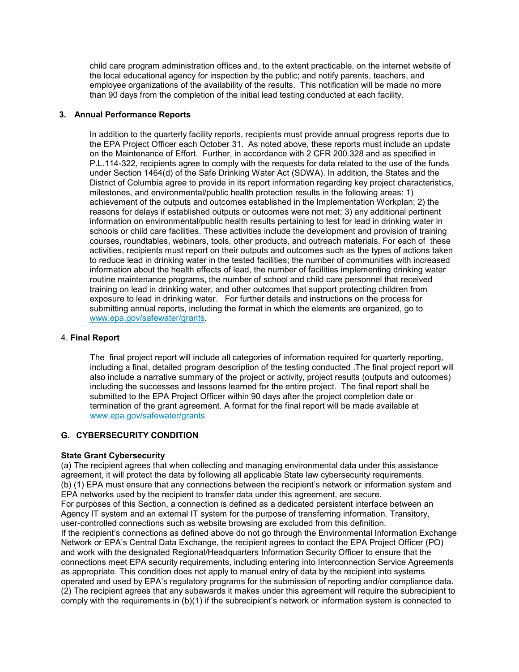child care program administration offices and, to the extent practicable, on the internet website of the local educational agency for inspection by the public; and notify parents, teachers, and employee organizations of the availability of the results. This notification will be made no more than 90 days from the completion of the initial lead testing conducted at each facility.

# 3. Annual Performance Reports

In addition to the quarterly facility reports, recipients must provide annual progress reports due to the EPA Project Officer each October 31. As noted above, these reports must include an update on the Maintenance of Effort. Further, in accordance with 2 CFR 200.328 and as specified in P.L.114-322, recipients agree to comply with the requests for data related to the use of the funds under Section 1464(d) of the Safe Drinking Water Act (SDWA). In addition, the States and the District of Columbia agree to provide in its report information regarding key project characteristics, milestones, and environmental/public health protection results in the following areas: 1) achievement of the outputs and outcomes established in the Implementation Workplan; 2) the reasons for delays if established outputs or outcomes were not met; 3) any additional pertinent information on environmental/public health results pertaining to test for lead in drinking water in schools or child care facilities. These activities include the development and provision of training courses, roundtables, webinars, tools, other products, and outreach materials. For each of these activities, recipients must report on their outputs and outcomes such as the types of actions taken to reduce lead in drinking water in the tested facilities; the number of communities with increased information about the health effects of lead, the number of facilities implementing drinking water routine maintenance programs, the number of school and child care personnel that received training on lead in drinking water, and other outcomes that support protecting children from exposure to lead in drinking water. For further details and instructions on the process for submitting annual reports, including the format in which the elements are organized, go to www.epa.gov/safewater/grants.

#### 4. Final Report

The final project report will include all categories of information required for quarterly reporting, including a final, detailed program description of the testing conducted .The final project report will also include a narrative summary of the project or activity, project results (outputs and outcomes) including the successes and lessons learned for the entire project. The final report shall be submitted to the EPA Project Officer within 90 days after the project completion date or termination of the grant agreement. A format for the final report will be made available at www.epa.gov/safewater/grants

# G. CYBERSECURITY CONDITION

# State Grant Cybersecurity

(a) The recipient agrees that when collecting and managing environmental data under this assistance agreement, it will protect the data by following all applicable State law cybersecurity requirements. (b) (1) EPA must ensure that any connections between the recipient's network or information system and EPA networks used by the recipient to transfer data under this agreement, are secure. For purposes of this Section, a connection is defined as a dedicated persistent interface between an Agency IT system and an external IT system for the purpose of transferring information. Transitory, user-controlled connections such as website browsing are excluded from this definition. If the recipient's connections as defined above do not go through the Environmental Information Exchange Network or EPA's Central Data Exchange, the recipient agrees to contact the EPA Project Officer (PO) and work with the designated Regional/Headquarters Information Security Officer to ensure that the connections meet EPA security requirements, including entering into Interconnection Service Agreements as appropriate. This condition does not apply to manual entry of data by the recipient into systems operated and used by EPA's regulatory programs for the submission of reporting and/or compliance data. (2) The recipient agrees that any subawards it makes under this agreement will require the subrecipient to comply with the requirements in (b)(1) if the subrecipient's network or information system is connected to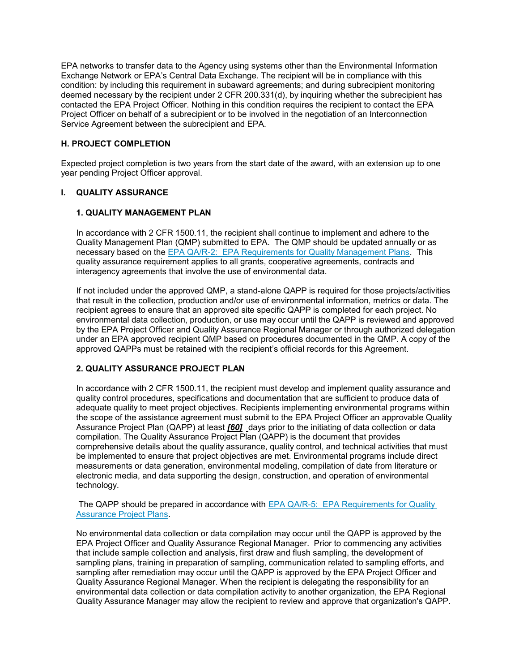EPA networks to transfer data to the Agency using systems other than the Environmental Information Exchange Network or EPA's Central Data Exchange. The recipient will be in compliance with this condition: by including this requirement in subaward agreements; and during subrecipient monitoring deemed necessary by the recipient under 2 CFR 200.331(d), by inquiring whether the subrecipient has contacted the EPA Project Officer. Nothing in this condition requires the recipient to contact the EPA Project Officer on behalf of a subrecipient or to be involved in the negotiation of an Interconnection Service Agreement between the subrecipient and EPA.

# H. PROJECT COMPLETION

Expected project completion is two years from the start date of the award, with an extension up to one year pending Project Officer approval.

# I. QUALITY ASSURANCE

# 1. QUALITY MANAGEMENT PLAN

In accordance with 2 CFR 1500.11, the recipient shall continue to implement and adhere to the Quality Management Plan (QMP) submitted to EPA. The QMP should be updated annually or as necessary based on the EPA QA/R-2: EPA Requirements for Quality Management Plans. This quality assurance requirement applies to all grants, cooperative agreements, contracts and interagency agreements that involve the use of environmental data.

If not included under the approved QMP, a stand-alone QAPP is required for those projects/activities that result in the collection, production and/or use of environmental information, metrics or data. The recipient agrees to ensure that an approved site specific QAPP is completed for each project. No environmental data collection, production, or use may occur until the QAPP is reviewed and approved by the EPA Project Officer and Quality Assurance Regional Manager or through authorized delegation under an EPA approved recipient QMP based on procedures documented in the QMP. A copy of the approved QAPPs must be retained with the recipient's official records for this Agreement.

# 2. QUALITY ASSURANCE PROJECT PLAN

In accordance with 2 CFR 1500.11, the recipient must develop and implement quality assurance and quality control procedures, specifications and documentation that are sufficient to produce data of adequate quality to meet project objectives. Recipients implementing environmental programs within the scope of the assistance agreement must submit to the EPA Project Officer an approvable Quality Assurance Project Plan (QAPP) at least [60] days prior to the initiating of data collection or data compilation. The Quality Assurance Project Plan (QAPP) is the document that provides comprehensive details about the quality assurance, quality control, and technical activities that must be implemented to ensure that project objectives are met. Environmental programs include direct measurements or data generation, environmental modeling, compilation of date from literature or electronic media, and data supporting the design, construction, and operation of environmental technology.

 The QAPP should be prepared in accordance with EPA QA/R-5: EPA Requirements for Quality Assurance Project Plans.

No environmental data collection or data compilation may occur until the QAPP is approved by the EPA Project Officer and Quality Assurance Regional Manager. Prior to commencing any activities that include sample collection and analysis, first draw and flush sampling, the development of sampling plans, training in preparation of sampling, communication related to sampling efforts, and sampling after remediation may occur until the QAPP is approved by the EPA Project Officer and Quality Assurance Regional Manager. When the recipient is delegating the responsibility for an environmental data collection or data compilation activity to another organization, the EPA Regional Quality Assurance Manager may allow the recipient to review and approve that organization's QAPP.